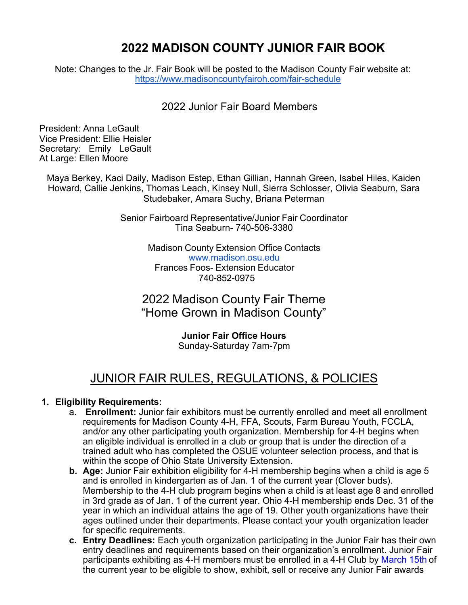# **2022 MADISON COUNTY JUNIOR FAIR BOOK**

Note: Changes to the Jr. Fair Book will be posted to the Madison County Fair website at: https://www.madisoncountyfairoh.com/fair-schedule

## 2022 Junior Fair Board Members

President: Anna LeGault Vice President: Ellie Heisler Secretary: Emily LeGault At Large: Ellen Moore

Maya Berkey, Kaci Daily, Madison Estep, Ethan Gillian, Hannah Green, Isabel Hiles, Kaiden Howard, Callie Jenkins, Thomas Leach, Kinsey Null, Sierra Schlosser, Olivia Seaburn, Sara Studebaker, Amara Suchy, Briana Peterman

> Senior Fairboard Representative/Junior Fair Coordinator Tina Seaburn- 740-506-3380

> > Madison County Extension Office Contacts www.madison.osu.edu Frances Foos- Extension Educator 740-852-0975

2022 Madison County Fair Theme "Home Grown in Madison County"

> **Junior Fair Office Hours** Sunday-Saturday 7am-7pm

# JUNIOR FAIR RULES, REGULATIONS, & POLICIES

#### **1. Eligibility Requirements:**

- a. **Enrollment:** Junior fair exhibitors must be currently enrolled and meet all enrollment requirements for Madison County 4-H, FFA, Scouts, Farm Bureau Youth, FCCLA, and/or any other participating youth organization. Membership for 4-H begins when an eligible individual is enrolled in a club or group that is under the direction of a trained adult who has completed the OSUE volunteer selection process, and that is within the scope of Ohio State University Extension.
- **b. Age:** Junior Fair exhibition eligibility for 4-H membership begins when a child is age 5 and is enrolled in kindergarten as of Jan. 1 of the current year (Clover buds). Membership to the 4-H club program begins when a child is at least age 8 and enrolled in 3rd grade as of Jan. 1 of the current year. Ohio 4-H membership ends Dec. 31 of the year in which an individual attains the age of 19. Other youth organizations have their ages outlined under their departments. Please contact your youth organization leader for specific requirements.
- **c. Entry Deadlines:** Each youth organization participating in the Junior Fair has their own entry deadlines and requirements based on their organization's enrollment. Junior Fair participants exhibiting as 4-H members must be enrolled in a 4-H Club by March 15th of the current year to be eligible to show, exhibit, sell or receive any Junior Fair awards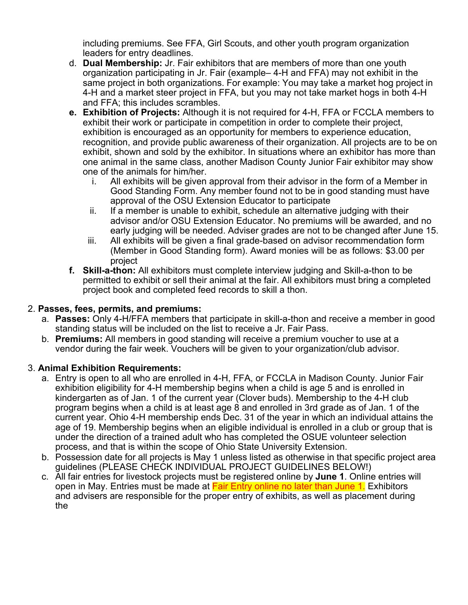including premiums. See FFA, Girl Scouts, and other youth program organization leaders for entry deadlines.

- d. **Dual Membership:** Jr. Fair exhibitors that are members of more than one youth organization participating in Jr. Fair (example– 4-H and FFA) may not exhibit in the same project in both organizations. For example: You may take a market hog project in 4-H and a market steer project in FFA, but you may not take market hogs in both 4-H and FFA; this includes scrambles.
- **e. Exhibition of Projects:** Although it is not required for 4-H, FFA or FCCLA members to exhibit their work or participate in competition in order to complete their project, exhibition is encouraged as an opportunity for members to experience education, recognition, and provide public awareness of their organization. All projects are to be on exhibit, shown and sold by the exhibitor. In situations where an exhibitor has more than one animal in the same class, another Madison County Junior Fair exhibitor may show one of the animals for him/her.
	- i. All exhibits will be given approval from their advisor in the form of a Member in Good Standing Form. Any member found not to be in good standing must have approval of the OSU Extension Educator to participate
	- ii. If a member is unable to exhibit, schedule an alternative judging with their advisor and/or OSU Extension Educator. No premiums will be awarded, and no early judging will be needed. Adviser grades are not to be changed after June 15.
	- iii. All exhibits will be given a final grade-based on advisor recommendation form (Member in Good Standing form). Award monies will be as follows: \$3.00 per project
- **f. Skill-a-thon:** All exhibitors must complete interview judging and Skill-a-thon to be permitted to exhibit or sell their animal at the fair. All exhibitors must bring a completed project book and completed feed records to skill a thon.

#### 2. **Passes, fees, permits, and premiums:**

- a. **Passes:** Only 4-H/FFA members that participate in skill-a-thon and receive a member in good standing status will be included on the list to receive a Jr. Fair Pass.
- b. **Premiums:** All members in good standing will receive a premium voucher to use at a vendor during the fair week. Vouchers will be given to your organization/club advisor.

#### 3. **Animal Exhibition Requirements:**

- a. Entry is open to all who are enrolled in 4-H, FFA, or FCCLA in Madison County. Junior Fair exhibition eligibility for 4-H membership begins when a child is age 5 and is enrolled in kindergarten as of Jan. 1 of the current year (Clover buds). Membership to the 4-H club program begins when a child is at least age 8 and enrolled in 3rd grade as of Jan. 1 of the current year. Ohio 4-H membership ends Dec. 31 of the year in which an individual attains the age of 19. Membership begins when an eligible individual is enrolled in a club or group that is under the direction of a trained adult who has completed the OSUE volunteer selection process, and that is within the scope of Ohio State University Extension.
- b. Possession date for all projects is May 1 unless listed as otherwise in that specific project area guidelines (PLEASE CHECK INDIVIDUAL PROJECT GUIDELINES BELOW!)
- c. All fair entries for livestock projects must be registered online by **June 1**. Online entries will open in May. Entries must be made at Fair Entry online no later than June 1. Exhibitors and advisers are responsible for the proper entry of exhibits, as well as placement during the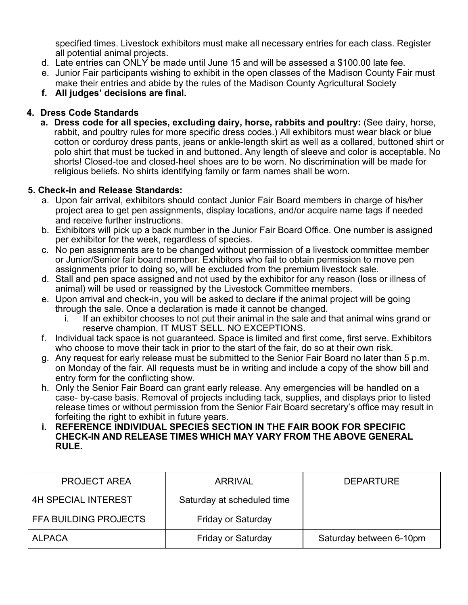specified times. Livestock exhibitors must make all necessary entries for each class. Register all potential animal projects.

- d. Late entries can ONLY be made until June 15 and will be assessed a \$100.00 late fee.
- e. Junior Fair participants wishing to exhibit in the open classes of the Madison County Fair must make their entries and abide by the rules of the Madison County Agricultural Society
- **f. All judges' decisions are final.**

## **4. Dress Code Standards**

**a. Dress code for all species, excluding dairy, horse, rabbits and poultry:** (See dairy, horse, rabbit, and poultry rules for more specific dress codes.) All exhibitors must wear black or blue cotton or corduroy dress pants, jeans or ankle-length skirt as well as a collared, buttoned shirt or polo shirt that must be tucked in and buttoned. Any length of sleeve and color is acceptable. No shorts! Closed-toe and closed-heel shoes are to be worn. No discrimination will be made for religious beliefs. No shirts identifying family or farm names shall be worn**.**

#### **5. Check-in and Release Standards:**

- a. Upon fair arrival, exhibitors should contact Junior Fair Board members in charge of his/her project area to get pen assignments, display locations, and/or acquire name tags if needed and receive further instructions.
- b. Exhibitors will pick up a back number in the Junior Fair Board Office. One number is assigned per exhibitor for the week, regardless of species.
- c. No pen assignments are to be changed without permission of a livestock committee member or Junior/Senior fair board member. Exhibitors who fail to obtain permission to move pen assignments prior to doing so, will be excluded from the premium livestock sale.
- d. Stall and pen space assigned and not used by the exhibitor for any reason (loss or illness of animal) will be used or reassigned by the Livestock Committee members.
- e. Upon arrival and check-in, you will be asked to declare if the animal project will be going through the sale. Once a declaration is made it cannot be changed.
	- i. If an exhibitor chooses to not put their animal in the sale and that animal wins grand or reserve champion, IT MUST SELL. NO EXCEPTIONS.
- f. Individual tack space is not guaranteed. Space is limited and first come, first serve. Exhibitors who choose to move their tack in prior to the start of the fair, do so at their own risk.
- g. Any request for early release must be submitted to the Senior Fair Board no later than 5 p.m. on Monday of the fair. All requests must be in writing and include a copy of the show bill and entry form for the conflicting show.
- h. Only the Senior Fair Board can grant early release. Any emergencies will be handled on a case- by-case basis. Removal of projects including tack, supplies, and displays prior to listed release times or without permission from the Senior Fair Board secretary's office may result in forfeiting the right to exhibit in future years.
- **i. REFERENCE INDIVIDUAL SPECIES SECTION IN THE FAIR BOOK FOR SPECIFIC CHECK-IN AND RELEASE TIMES WHICH MAY VARY FROM THE ABOVE GENERAL RULE.**

| <b>PROJECT AREA</b>          | ARRIVAL                    | <b>DEPARTURE</b>        |
|------------------------------|----------------------------|-------------------------|
| <b>4H SPECIAL INTEREST</b>   | Saturday at scheduled time |                         |
| <b>FFA BUILDING PROJECTS</b> | <b>Friday or Saturday</b>  |                         |
| <b>ALPACA</b>                | <b>Friday or Saturday</b>  | Saturday between 6-10pm |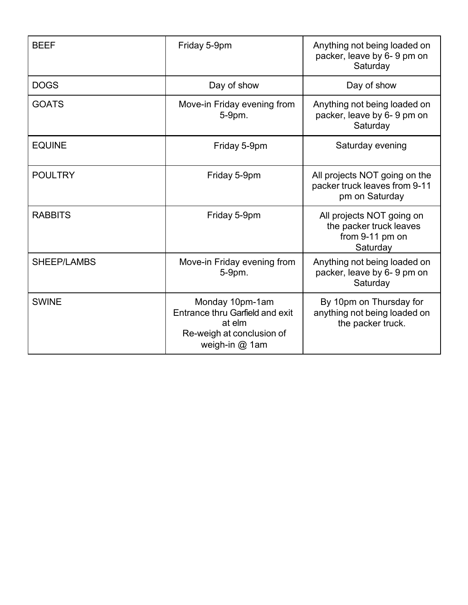| <b>BEEF</b>    | Friday 5-9pm                                                                                                | Anything not being loaded on<br>packer, leave by 6-9 pm on<br>Saturday              |
|----------------|-------------------------------------------------------------------------------------------------------------|-------------------------------------------------------------------------------------|
| <b>DOGS</b>    | Day of show                                                                                                 | Day of show                                                                         |
| <b>GOATS</b>   | Move-in Friday evening from<br>5-9pm.                                                                       | Anything not being loaded on<br>packer, leave by 6-9 pm on<br>Saturday              |
| <b>EQUINE</b>  | Friday 5-9pm                                                                                                | Saturday evening                                                                    |
| <b>POULTRY</b> | Friday 5-9pm                                                                                                | All projects NOT going on the<br>packer truck leaves from 9-11<br>pm on Saturday    |
| <b>RABBITS</b> | Friday 5-9pm                                                                                                | All projects NOT going on<br>the packer truck leaves<br>from 9-11 pm on<br>Saturday |
| SHEEP/LAMBS    | Move-in Friday evening from<br>5-9pm.                                                                       | Anything not being loaded on<br>packer, leave by 6-9 pm on<br>Saturday              |
| <b>SWINE</b>   | Monday 10pm-1am<br>Entrance thru Garfield and exit<br>at elm<br>Re-weigh at conclusion of<br>weigh-in @ 1am | By 10pm on Thursday for<br>anything not being loaded on<br>the packer truck.        |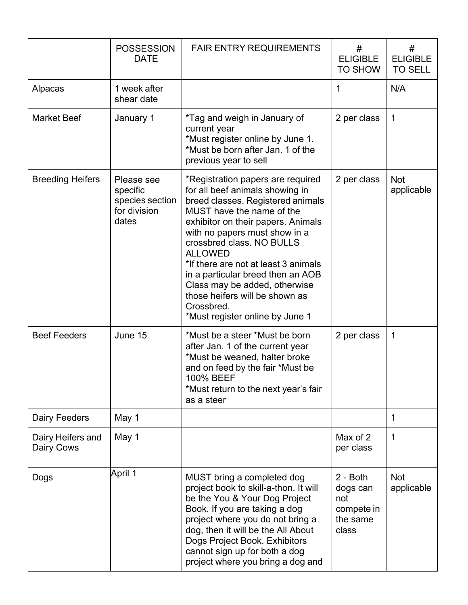|                                 | <b>POSSESSION</b><br><b>DATE</b>                                   | <b>FAIR ENTRY REQUIREMENTS</b>                                                                                                                                                                                                                                                                                                                                                                                                                                | #<br><b>ELIGIBLE</b><br><b>TO SHOW</b>                           | #<br><b>ELIGIBLE</b><br><b>TO SELL</b> |
|---------------------------------|--------------------------------------------------------------------|---------------------------------------------------------------------------------------------------------------------------------------------------------------------------------------------------------------------------------------------------------------------------------------------------------------------------------------------------------------------------------------------------------------------------------------------------------------|------------------------------------------------------------------|----------------------------------------|
| Alpacas                         | 1 week after<br>shear date                                         |                                                                                                                                                                                                                                                                                                                                                                                                                                                               | 1                                                                | N/A                                    |
| <b>Market Beef</b>              | January 1                                                          | *Tag and weigh in January of<br>current year<br>*Must register online by June 1.<br>*Must be born after Jan. 1 of the<br>previous year to sell                                                                                                                                                                                                                                                                                                                | 2 per class                                                      | 1                                      |
| <b>Breeding Heifers</b>         | Please see<br>specific<br>species section<br>for division<br>dates | *Registration papers are required<br>for all beef animals showing in<br>breed classes. Registered animals<br>MUST have the name of the<br>exhibitor on their papers. Animals<br>with no papers must show in a<br>crossbred class. NO BULLS<br><b>ALLOWED</b><br>*If there are not at least 3 animals<br>in a particular breed then an AOB<br>Class may be added, otherwise<br>those heifers will be shown as<br>Crossbred.<br>*Must register online by June 1 | 2 per class                                                      | <b>Not</b><br>applicable               |
| <b>Beef Feeders</b>             | June 15                                                            | *Must be a steer *Must be born<br>after Jan. 1 of the current year<br>*Must be weaned, halter broke<br>and on feed by the fair *Must be<br>100% BEEF<br>*Must return to the next year's fair<br>as a steer                                                                                                                                                                                                                                                    | 2 per class                                                      | 1                                      |
| Dairy Feeders                   | May 1                                                              |                                                                                                                                                                                                                                                                                                                                                                                                                                                               |                                                                  | 1                                      |
| Dairy Heifers and<br>Dairy Cows | May 1                                                              |                                                                                                                                                                                                                                                                                                                                                                                                                                                               | Max of 2<br>per class                                            | $\mathbf{1}$                           |
| Dogs                            | April 1                                                            | MUST bring a completed dog<br>project book to skill-a-thon. It will<br>be the You & Your Dog Project<br>Book. If you are taking a dog<br>project where you do not bring a<br>dog, then it will be the All About<br>Dogs Project Book. Exhibitors<br>cannot sign up for both a dog<br>project where you bring a dog and                                                                                                                                        | $2 - Both$<br>dogs can<br>not<br>compete in<br>the same<br>class | <b>Not</b><br>applicable               |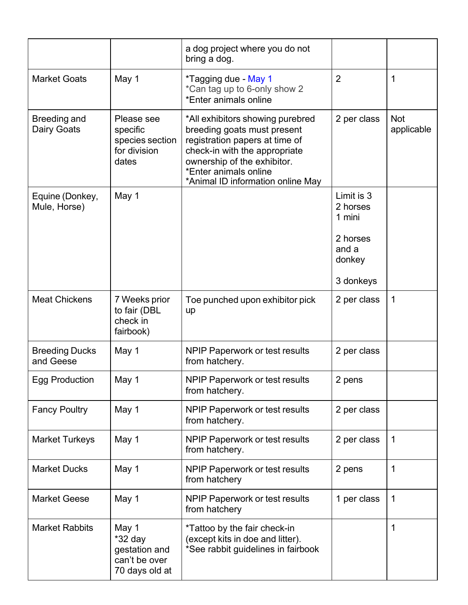|                                    |                                                                      | a dog project where you do not<br>bring a dog.                                                                                                                                                                                  |                                                                              |                          |
|------------------------------------|----------------------------------------------------------------------|---------------------------------------------------------------------------------------------------------------------------------------------------------------------------------------------------------------------------------|------------------------------------------------------------------------------|--------------------------|
| <b>Market Goats</b>                | May 1                                                                | *Tagging due - May 1<br>*Can tag up to 6-only show 2<br>*Enter animals online                                                                                                                                                   | $\overline{2}$                                                               | 1                        |
| <b>Breeding and</b><br>Dairy Goats | Please see<br>specific<br>species section<br>for division<br>dates   | *All exhibitors showing purebred<br>breeding goats must present<br>registration papers at time of<br>check-in with the appropriate<br>ownership of the exhibitor.<br>*Enter animals online<br>*Animal ID information online May | 2 per class                                                                  | <b>Not</b><br>applicable |
| Equine (Donkey,<br>Mule, Horse)    | May 1                                                                |                                                                                                                                                                                                                                 | Limit is 3<br>2 horses<br>1 mini<br>2 horses<br>and a<br>donkey<br>3 donkeys |                          |
| <b>Meat Chickens</b>               | 7 Weeks prior<br>to fair (DBL<br>check in<br>fairbook)               | Toe punched upon exhibitor pick<br>up                                                                                                                                                                                           | 2 per class                                                                  | 1                        |
| <b>Breeding Ducks</b><br>and Geese | May 1                                                                | NPIP Paperwork or test results<br>from hatchery.                                                                                                                                                                                | 2 per class                                                                  |                          |
| <b>Egg Production</b>              | May 1                                                                | NPIP Paperwork or test results<br>from hatchery.                                                                                                                                                                                | 2 pens                                                                       |                          |
| <b>Fancy Poultry</b>               | May 1                                                                | NPIP Paperwork or test results<br>from hatchery.                                                                                                                                                                                | 2 per class                                                                  |                          |
| <b>Market Turkeys</b>              | May 1                                                                | NPIP Paperwork or test results<br>from hatchery.                                                                                                                                                                                | 2 per class                                                                  | $\mathbf 1$              |
| <b>Market Ducks</b>                | May 1                                                                | NPIP Paperwork or test results<br>from hatchery                                                                                                                                                                                 | 2 pens                                                                       | 1                        |
| <b>Market Geese</b>                | May 1                                                                | NPIP Paperwork or test results<br>from hatchery                                                                                                                                                                                 | 1 per class                                                                  | 1                        |
| <b>Market Rabbits</b>              | May 1<br>*32 day<br>gestation and<br>can't be over<br>70 days old at | *Tattoo by the fair check-in<br>(except kits in doe and litter).<br>*See rabbit guidelines in fairbook                                                                                                                          |                                                                              | 1                        |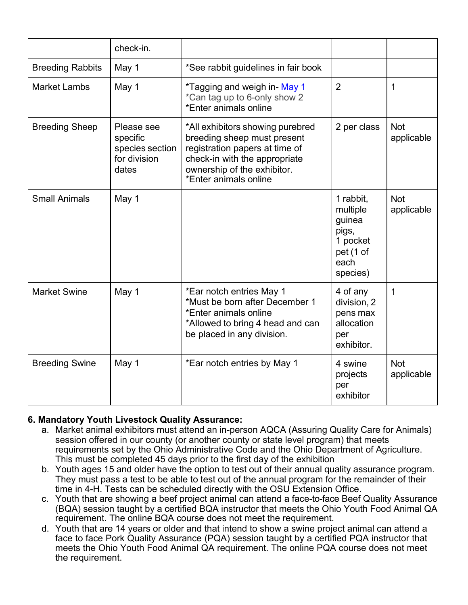|                         | check-in.                                                          |                                                                                                                                                                                            |                                                                                       |                          |
|-------------------------|--------------------------------------------------------------------|--------------------------------------------------------------------------------------------------------------------------------------------------------------------------------------------|---------------------------------------------------------------------------------------|--------------------------|
| <b>Breeding Rabbits</b> | May 1                                                              | *See rabbit guidelines in fair book                                                                                                                                                        |                                                                                       |                          |
| <b>Market Lambs</b>     | May 1                                                              | *Tagging and weigh in- May 1<br>*Can tag up to 6-only show 2<br>*Enter animals online                                                                                                      | $\overline{2}$                                                                        | 1                        |
| <b>Breeding Sheep</b>   | Please see<br>specific<br>species section<br>for division<br>dates | *All exhibitors showing purebred<br>breeding sheep must present<br>registration papers at time of<br>check-in with the appropriate<br>ownership of the exhibitor.<br>*Enter animals online | 2 per class                                                                           | <b>Not</b><br>applicable |
| <b>Small Animals</b>    | May 1                                                              |                                                                                                                                                                                            | 1 rabbit.<br>multiple<br>guinea<br>pigs,<br>1 pocket<br>pet (1 of<br>each<br>species) | <b>Not</b><br>applicable |
| <b>Market Swine</b>     | May 1                                                              | *Ear notch entries May 1<br>*Must be born after December 1<br>*Enter animals online<br>*Allowed to bring 4 head and can<br>be placed in any division.                                      | 4 of any<br>division, 2<br>pens max<br>allocation<br>per<br>exhibitor.                | 1                        |
| <b>Breeding Swine</b>   | May 1                                                              | *Ear notch entries by May 1                                                                                                                                                                | 4 swine<br>projects<br>per<br>exhibitor                                               | <b>Not</b><br>applicable |

#### **6. Mandatory Youth Livestock Quality Assurance:**

- a. Market animal exhibitors must attend an in-person AQCA (Assuring Quality Care for Animals) session offered in our county (or another county or state level program) that meets requirements set by the Ohio Administrative Code and the Ohio Department of Agriculture. This must be completed 45 days prior to the first day of the exhibition
- b. Youth ages 15 and older have the option to test out of their annual quality assurance program. They must pass a test to be able to test out of the annual program for the remainder of their time in 4-H. Tests can be scheduled directly with the OSU Extension Office.
- c. Youth that are showing a beef project animal can attend a face-to-face Beef Quality Assurance (BQA) session taught by a certified BQA instructor that meets the Ohio Youth Food Animal QA requirement. The online BQA course does not meet the requirement.
- d. Youth that are 14 years or older and that intend to show a swine project animal can attend a face to face Pork Quality Assurance (PQA) session taught by a certified PQA instructor that meets the Ohio Youth Food Animal QA requirement. The online PQA course does not meet the requirement.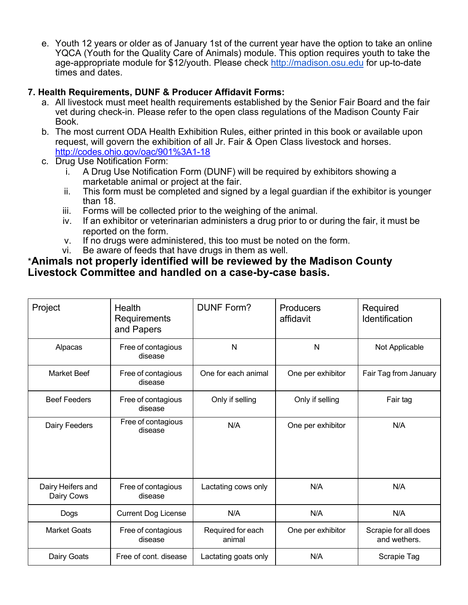e. Youth 12 years or older as of January 1st of the current year have the option to take an online YQCA (Youth for the Quality Care of Animals) module. This option requires youth to take the age-appropriate module for \$12/youth. Please check http://madison.osu.edu for up-to-date times and dates.

#### **7. Health Requirements, DUNF & Producer Affidavit Forms:**

- a. All livestock must meet health requirements established by the Senior Fair Board and the fair vet during check-in. Please refer to the open class regulations of the Madison County Fair Book.
- b. The most current ODA Health Exhibition Rules, either printed in this book or available upon request, will govern the exhibition of all Jr. Fair & Open Class livestock and horses. http://codes.ohio.gov/oac/901%3A1-18
- c. Drug Use Notification Form:
	- i. A Drug Use Notification Form (DUNF) will be required by exhibitors showing a marketable animal or project at the fair.
	- ii. This form must be completed and signed by a legal guardian if the exhibitor is younger than 18.
	- iii. Forms will be collected prior to the weighing of the animal.
	- iv. If an exhibitor or veterinarian administers a drug prior to or during the fair, it must be reported on the form.
	- v. If no drugs were administered, this too must be noted on the form.
	- vi. Be aware of feeds that have drugs in them as well.

## \***Animals not properly identified will be reviewed by the Madison County Livestock Committee and handled on a case-by-case basis.**

| Project                         | Health<br>Requirements<br>and Papers | <b>DUNF Form?</b>           | <b>Producers</b><br>affidavit | Required<br>Identification           |
|---------------------------------|--------------------------------------|-----------------------------|-------------------------------|--------------------------------------|
| Alpacas                         | Free of contagious<br>disease        | N                           | N                             | Not Applicable                       |
| <b>Market Beef</b>              | Free of contagious<br>disease        | One for each animal         | One per exhibitor             | Fair Tag from January                |
| <b>Beef Feeders</b>             | Free of contagious<br>disease        | Only if selling             | Only if selling               | Fair tag                             |
| Dairy Feeders                   | Free of contagious<br>disease        | N/A                         | One per exhibitor             | N/A                                  |
| Dairy Heifers and<br>Dairy Cows | Free of contagious<br>disease        | Lactating cows only         | N/A                           | N/A                                  |
| Dogs                            | <b>Current Dog License</b>           | N/A                         | N/A                           | N/A                                  |
| <b>Market Goats</b>             | Free of contagious<br>disease        | Required for each<br>animal | One per exhibitor             | Scrapie for all does<br>and wethers. |
| Dairy Goats                     | Free of cont. disease                | Lactating goats only        | N/A                           | Scrapie Tag                          |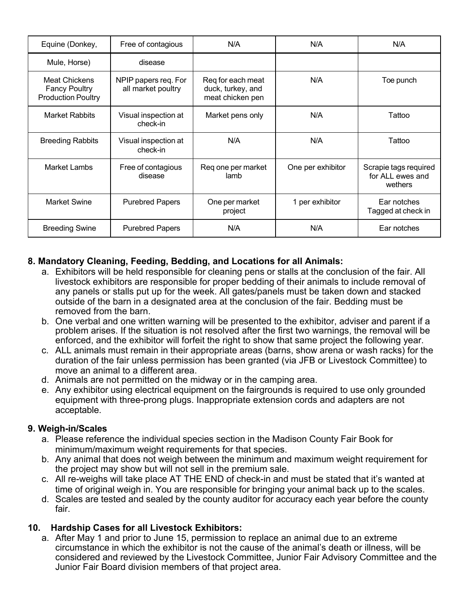| Equine (Donkey,                                                           | Free of contagious                         | N/A                                                        | N/A               | N/A                                                  |
|---------------------------------------------------------------------------|--------------------------------------------|------------------------------------------------------------|-------------------|------------------------------------------------------|
| Mule, Horse)                                                              | disease                                    |                                                            |                   |                                                      |
| <b>Meat Chickens</b><br><b>Fancy Poultry</b><br><b>Production Poultry</b> | NPIP papers req. For<br>all market poultry | Reg for each meat<br>duck, turkey, and<br>meat chicken pen | N/A               | Toe punch                                            |
| <b>Market Rabbits</b>                                                     | Visual inspection at<br>check-in           | Market pens only                                           | N/A               | Tattoo                                               |
| <b>Breeding Rabbits</b>                                                   | Visual inspection at<br>check-in           | N/A                                                        | N/A               | Tattoo                                               |
| Market Lambs                                                              | Free of contagious<br>disease              | Req one per market<br>lamb                                 | One per exhibitor | Scrapie tags required<br>for ALL ewes and<br>wethers |
| <b>Market Swine</b>                                                       | <b>Purebred Papers</b>                     | One per market<br>project                                  | 1 per exhibitor   | Ear notches<br>Tagged at check in                    |
| <b>Breeding Swine</b>                                                     | <b>Purebred Papers</b>                     | N/A                                                        | N/A               | Ear notches                                          |

## **8. Mandatory Cleaning, Feeding, Bedding, and Locations for all Animals:**

- a. Exhibitors will be held responsible for cleaning pens or stalls at the conclusion of the fair. All livestock exhibitors are responsible for proper bedding of their animals to include removal of any panels or stalls put up for the week. All gates/panels must be taken down and stacked outside of the barn in a designated area at the conclusion of the fair. Bedding must be removed from the barn.
- b. One verbal and one written warning will be presented to the exhibitor, adviser and parent if a problem arises. If the situation is not resolved after the first two warnings, the removal will be enforced, and the exhibitor will forfeit the right to show that same project the following year.
- c. ALL animals must remain in their appropriate areas (barns, show arena or wash racks) for the duration of the fair unless permission has been granted (via JFB or Livestock Committee) to move an animal to a different area.
- d. Animals are not permitted on the midway or in the camping area.
- e. Any exhibitor using electrical equipment on the fairgrounds is required to use only grounded equipment with three-prong plugs. Inappropriate extension cords and adapters are not acceptable.

#### **9. Weigh-in/Scales**

- a. Please reference the individual species section in the Madison County Fair Book for minimum/maximum weight requirements for that species.
- b. Any animal that does not weigh between the minimum and maximum weight requirement for the project may show but will not sell in the premium sale.
- c. All re-weighs will take place AT THE END of check-in and must be stated that it's wanted at time of original weigh in. You are responsible for bringing your animal back up to the scales.
- d. Scales are tested and sealed by the county auditor for accuracy each year before the county fair.

#### **10. Hardship Cases for all Livestock Exhibitors:**

a. After May 1 and prior to June 15, permission to replace an animal due to an extreme circumstance in which the exhibitor is not the cause of the animal's death or illness, will be considered and reviewed by the Livestock Committee, Junior Fair Advisory Committee and the Junior Fair Board division members of that project area.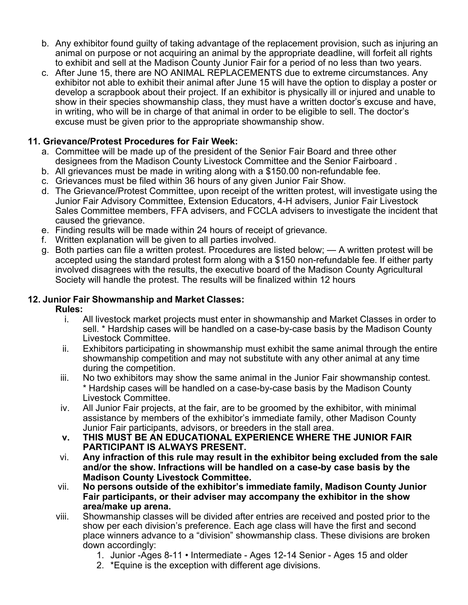- b. Any exhibitor found guilty of taking advantage of the replacement provision, such as injuring an animal on purpose or not acquiring an animal by the appropriate deadline, will forfeit all rights to exhibit and sell at the Madison County Junior Fair for a period of no less than two years.
- c. After June 15, there are NO ANIMAL REPLACEMENTS due to extreme circumstances. Any exhibitor not able to exhibit their animal after June 15 will have the option to display a poster or develop a scrapbook about their project. If an exhibitor is physically ill or injured and unable to show in their species showmanship class, they must have a written doctor's excuse and have, in writing, who will be in charge of that animal in order to be eligible to sell. The doctor's excuse must be given prior to the appropriate showmanship show.

## **11. Grievance/Protest Procedures for Fair Week:**

- a. Committee will be made up of the president of the Senior Fair Board and three other designees from the Madison County Livestock Committee and the Senior Fairboard .
- b. All grievances must be made in writing along with a \$150.00 non-refundable fee.
- c. Grievances must be filed within 36 hours of any given Junior Fair Show.
- d. The Grievance/Protest Committee, upon receipt of the written protest, will investigate using the Junior Fair Advisory Committee, Extension Educators, 4-H advisers, Junior Fair Livestock Sales Committee members, FFA advisers, and FCCLA advisers to investigate the incident that caused the grievance.
- e. Finding results will be made within 24 hours of receipt of grievance.
- f. Written explanation will be given to all parties involved.
- g. Both parties can file a written protest. Procedures are listed below; A written protest will be accepted using the standard protest form along with a \$150 non-refundable fee. If either party involved disagrees with the results, the executive board of the Madison County Agricultural Society will handle the protest. The results will be finalized within 12 hours

#### **12. Junior Fair Showmanship and Market Classes:**

#### **Rules:**

- i. All livestock market projects must enter in showmanship and Market Classes in order to sell. \* Hardship cases will be handled on a case-by-case basis by the Madison County Livestock Committee.
- ii. Exhibitors participating in showmanship must exhibit the same animal through the entire showmanship competition and may not substitute with any other animal at any time during the competition.
- iii. No two exhibitors may show the same animal in the Junior Fair showmanship contest. \* Hardship cases will be handled on a case-by-case basis by the Madison County Livestock Committee.
- iv. All Junior Fair projects, at the fair, are to be groomed by the exhibitor, with minimal assistance by members of the exhibitor's immediate family, other Madison County Junior Fair participants, advisors, or breeders in the stall area.
- **v. THIS MUST BE AN EDUCATIONAL EXPERIENCE WHERE THE JUNIOR FAIR PARTICIPANT IS ALWAYS PRESENT.**
- vi. **Any infraction of this rule may result in the exhibitor being excluded from the sale and/or the show. Infractions will be handled on a case-by case basis by the Madison County Livestock Committee.**
- vii. **No persons outside of the exhibitor's immediate family, Madison County Junior Fair participants, or their adviser may accompany the exhibitor in the show area/make up arena.**
- viii. Showmanship classes will be divided after entries are received and posted prior to the show per each division's preference. Each age class will have the first and second place winners advance to a "division" showmanship class. These divisions are broken down accordingly:
	- 1. Junior -Ages 8-11 Intermediate Ages 12-14 Senior Ages 15 and older
	- 2. \*Equine is the exception with different age divisions.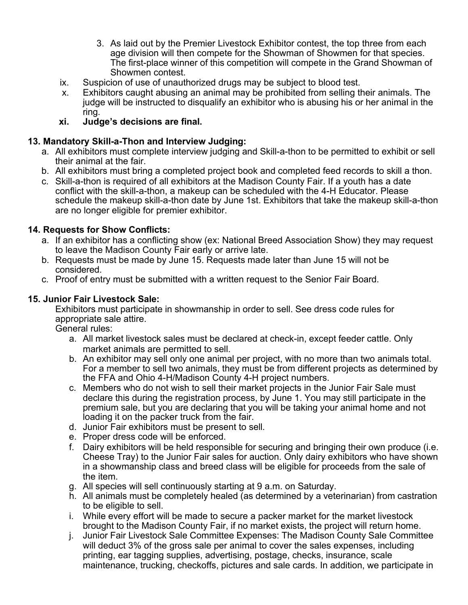- 3. As laid out by the Premier Livestock Exhibitor contest, the top three from each age division will then compete for the Showman of Showmen for that species. The first-place winner of this competition will compete in the Grand Showman of Showmen contest.
- ix. Suspicion of use of unauthorized drugs may be subject to blood test.
- x. Exhibitors caught abusing an animal may be prohibited from selling their animals. The judge will be instructed to disqualify an exhibitor who is abusing his or her animal in the ring.
- **xi. Judge's decisions are final.**

#### **13. Mandatory Skill-a-Thon and Interview Judging:**

- a. All exhibitors must complete interview judging and Skill-a-thon to be permitted to exhibit or sell their animal at the fair.
- b. All exhibitors must bring a completed project book and completed feed records to skill a thon.
- c. Skill-a-thon is required of all exhibitors at the Madison County Fair. If a youth has a date conflict with the skill-a-thon, a makeup can be scheduled with the 4-H Educator. Please schedule the makeup skill-a-thon date by June 1st. Exhibitors that take the makeup skill-a-thon are no longer eligible for premier exhibitor.

#### **14. Requests for Show Conflicts:**

- a. If an exhibitor has a conflicting show (ex: National Breed Association Show) they may request to leave the Madison County Fair early or arrive late.
- b. Requests must be made by June 15. Requests made later than June 15 will not be considered.
- c. Proof of entry must be submitted with a written request to the Senior Fair Board.

#### **15. Junior Fair Livestock Sale:**

Exhibitors must participate in showmanship in order to sell. See dress code rules for appropriate sale attire.

General rules:

- a. All market livestock sales must be declared at check-in, except feeder cattle. Only market animals are permitted to sell.
- b. An exhibitor may sell only one animal per project, with no more than two animals total. For a member to sell two animals, they must be from different projects as determined by the FFA and Ohio 4-H/Madison County 4-H project numbers.
- c. Members who do not wish to sell their market projects in the Junior Fair Sale must declare this during the registration process, by June 1. You may still participate in the premium sale, but you are declaring that you will be taking your animal home and not loading it on the packer truck from the fair.
- d. Junior Fair exhibitors must be present to sell.
- e. Proper dress code will be enforced.
- f. Dairy exhibitors will be held responsible for securing and bringing their own produce (i.e. Cheese Tray) to the Junior Fair sales for auction. Only dairy exhibitors who have shown in a showmanship class and breed class will be eligible for proceeds from the sale of the item.
- g. All species will sell continuously starting at 9 a.m. on Saturday.
- h. All animals must be completely healed (as determined by a veterinarian) from castration to be eligible to sell.
- i. While every effort will be made to secure a packer market for the market livestock brought to the Madison County Fair, if no market exists, the project will return home.
- j. Junior Fair Livestock Sale Committee Expenses: The Madison County Sale Committee will deduct 3% of the gross sale per animal to cover the sales expenses, including printing, ear tagging supplies, advertising, postage, checks, insurance, scale maintenance, trucking, checkoffs, pictures and sale cards. In addition, we participate in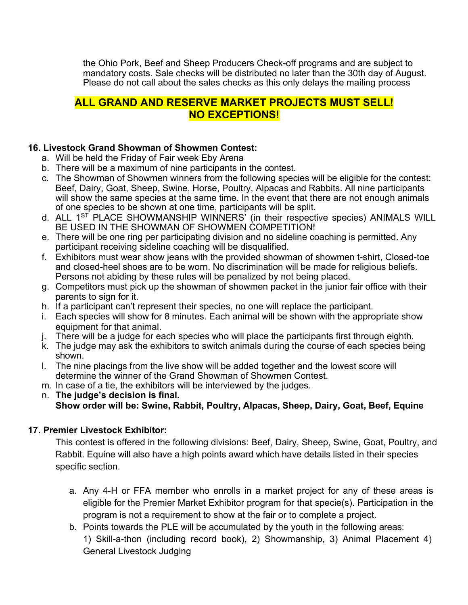the Ohio Pork, Beef and Sheep Producers Check-off programs and are subject to mandatory costs. Sale checks will be distributed no later than the 30th day of August. Please do not call about the sales checks as this only delays the mailing process

# **ALL GRAND AND RESERVE MARKET PROJECTS MUST SELL! NO EXCEPTIONS!**

## **16. Livestock Grand Showman of Showmen Contest:**

- a. Will be held the Friday of Fair week Eby Arena
- b. There will be a maximum of nine participants in the contest.
- c. The Showman of Showmen winners from the following species will be eligible for the contest: Beef, Dairy, Goat, Sheep, Swine, Horse, Poultry, Alpacas and Rabbits. All nine participants will show the same species at the same time. In the event that there are not enough animals of one species to be shown at one time, participants will be split.
- d. ALL 1<sup>ST</sup> PLACE SHOWMANSHIP WINNERS<sup>'</sup> (in their respective species) ANIMALS WILL BE USED IN THE SHOWMAN OF SHOWMEN COMPETITION!
- e. There will be one ring per participating division and no sideline coaching is permitted. Any participant receiving sideline coaching will be disqualified.
- f. Exhibitors must wear show jeans with the provided showman of showmen t-shirt, Closed-toe and closed-heel shoes are to be worn. No discrimination will be made for religious beliefs. Persons not abiding by these rules will be penalized by not being placed.
- g. Competitors must pick up the showman of showmen packet in the junior fair office with their parents to sign for it.
- h. If a participant can't represent their species, no one will replace the participant.
- i. Each species will show for 8 minutes. Each animal will be shown with the appropriate show equipment for that animal.
- j. There will be a judge for each species who will place the participants first through eighth.
- k. The judge may ask the exhibitors to switch animals during the course of each species being shown.
- l. The nine placings from the live show will be added together and the lowest score will determine the winner of the Grand Showman of Showmen Contest.
- m. In case of a tie, the exhibitors will be interviewed by the judges.
- n. **The judge's decision is final. Show order will be: Swine, Rabbit, Poultry, Alpacas, Sheep, Dairy, Goat, Beef, Equine**

## **17. Premier Livestock Exhibitor:**

This contest is offered in the following divisions: Beef, Dairy, Sheep, Swine, Goat, Poultry, and Rabbit. Equine will also have a high points award which have details listed in their species specific section.

- a. Any 4-H or FFA member who enrolls in a market project for any of these areas is eligible for the Premier Market Exhibitor program for that specie(s). Participation in the program is not a requirement to show at the fair or to complete a project.
- b. Points towards the PLE will be accumulated by the youth in the following areas: 1) Skill-a-thon (including record book), 2) Showmanship, 3) Animal Placement 4) General Livestock Judging